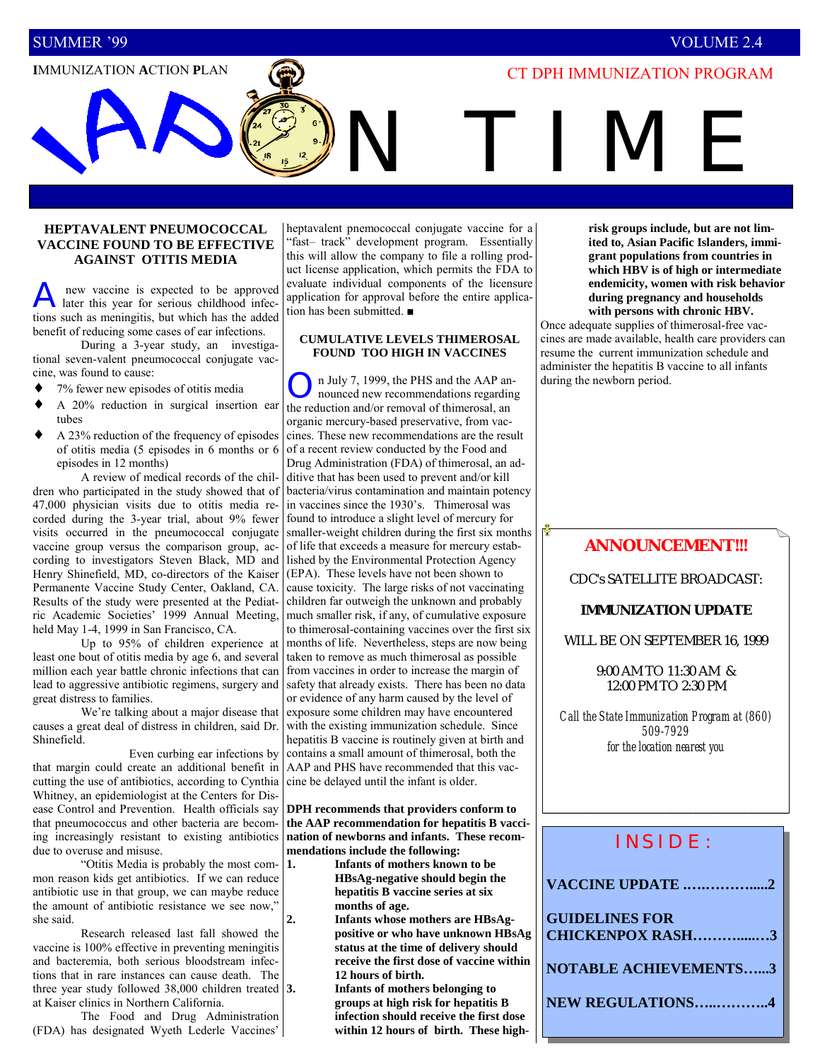### SUMMER <sup>1</sup>99 VOLUME 2.4

## **IMMUNIZATION ACTION PLAN**  $\left(\bigodot\right)$  **CT DPH IMMUNIZATION PROGRAM**

N TIME

### **HEPTAVALENT PNEUMOCOCCAL VACCINE FOUND TO BE EFFECTIVE AGAINST OTITIS MEDIA**

A new vaccine is expected to be approved later this year for serious childhood infections such as meningitis, but which has the added benefit of reducing some cases of ear infections.

 During a 3-year study, an investigational seven-valent pneumococcal conjugate vaccine, was found to cause:

- 7% fewer new episodes of otitis media
- ♦ A 20% reduction in surgical insertion ear tubes
- ♦ A 23% reduction of the frequency of episodes of otitis media (5 episodes in 6 months or 6 episodes in 12 months)

 A review of medical records of the children who participated in the study showed that of 47,000 physician visits due to otitis media recorded during the 3-year trial, about 9% fewer visits occurred in the pneumococcal conjugate vaccine group versus the comparison group, according to investigators Steven Black, MD and lished by the Environmental Protection Agency Henry Shinefield, MD, co-directors of the Kaiser Permanente Vaccine Study Center, Oakland, CA. Results of the study were presented at the Pediatric Academic Societies' 1999 Annual Meeting, held May 1-4, 1999 in San Francisco, CA.

 Up to 95% of children experience at least one bout of otitis media by age 6, and several million each year battle chronic infections that can lead to aggressive antibiotic regimens, surgery and great distress to families.

We're talking about a major disease that causes a great deal of distress in children, said Dr. Shinefield.

 Even curbing ear infections by that margin could create an additional benefit in cutting the use of antibiotics, according to Cynthia Whitney, an epidemiologist at the Centers for Disease Control and Prevention. Health officials say that pneumococcus and other bacteria are becoming increasingly resistant to existing antibiotics due to overuse and misuse.

 ìOtitis Media is probably the most common reason kids get antibiotics. If we can reduce antibiotic use in that group, we can maybe reduce the amount of antibiotic resistance we see now," she said.

 Research released last fall showed the vaccine is 100% effective in preventing meningitis and bacteremia, both serious bloodstream infections that in rare instances can cause death. The three year study followed 38,000 children treated  $3$ . at Kaiser clinics in Northern California.

 The Food and Drug Administration (FDA) has designated Wyeth Lederle Vaccines'

heptavalent pnemococcal conjugate vaccine for a 'fast- track<sup>?</sup>' development program. Essentially this will allow the company to file a rolling product license application, which permits the FDA to evaluate individual components of the licensure application for approval before the entire application has been submitted. ■

### **CUMULATIVE LEVELS THIMEROSAL FOUND TOO HIGH IN VACCINES**

n July 7, 1999, the PHS and the AAP announced new recommendations regarding the reduction and/or removal of thimerosal, an organic mercury-based preservative, from vaccines. These new recommendations are the result of a recent review conducted by the Food and Drug Administration (FDA) of thimerosal, an additive that has been used to prevent and/or kill bacteria/virus contamination and maintain potency in vaccines since the 1930's. Thimerosal was found to introduce a slight level of mercury for smaller-weight children during the first six months of life that exceeds a measure for mercury estab-(EPA). These levels have not been shown to cause toxicity. The large risks of not vaccinating children far outweigh the unknown and probably much smaller risk, if any, of cumulative exposure to thimerosal-containing vaccines over the first six months of life. Nevertheless, steps are now being taken to remove as much thimerosal as possible from vaccines in order to increase the margin of safety that already exists. There has been no data or evidence of any harm caused by the level of exposure some children may have encountered with the existing immunization schedule. Since hepatitis B vaccine is routinely given at birth and contains a small amount of thimerosal, both the AAP and PHS have recommended that this vaccine be delayed until the infant is older.

**DPH recommends that providers conform to the AAP recommendation for hepatitis B vaccination of newborns and infants. These recommendations include the following:** 

**1. Infants of mothers known to be HBsAg-negative should begin the hepatitis B vaccine series at six months of age.** 

**2. Infants whose mothers are HBsAgpositive or who have unknown HBsAg status at the time of delivery should receive the first dose of vaccine within 12 hours of birth.** 

**3. Infants of mothers belonging to groups at high risk for hepatitis B infection should receive the first dose within 12 hours of birth. These high-** **risk groups include, but are not limited to, Asian Pacific Islanders, immigrant populations from countries in which HBV is of high or intermediate endemicity, women with risk behavior during pregnancy and households with persons with chronic HBV.** 

Once adequate supplies of thimerosal-free vaccines are made available, health care providers can resume the current immunization schedule and administer the hepatitis B vaccine to all infants during the newborn period.

### **ANNOUNCEMENT!!!**

CDC's SATELLITE BROADCAST:

### *IMMUNIZATION UPDATE*

WILL BE ON SEPTEMBER 16, 1999

9:00 AM TO 11:30 AM & 12:00 PM TO 2:30 PM

*Call the State Immunization Program at (860) 509-7929 for the location nearest you* 

# INSIDE:

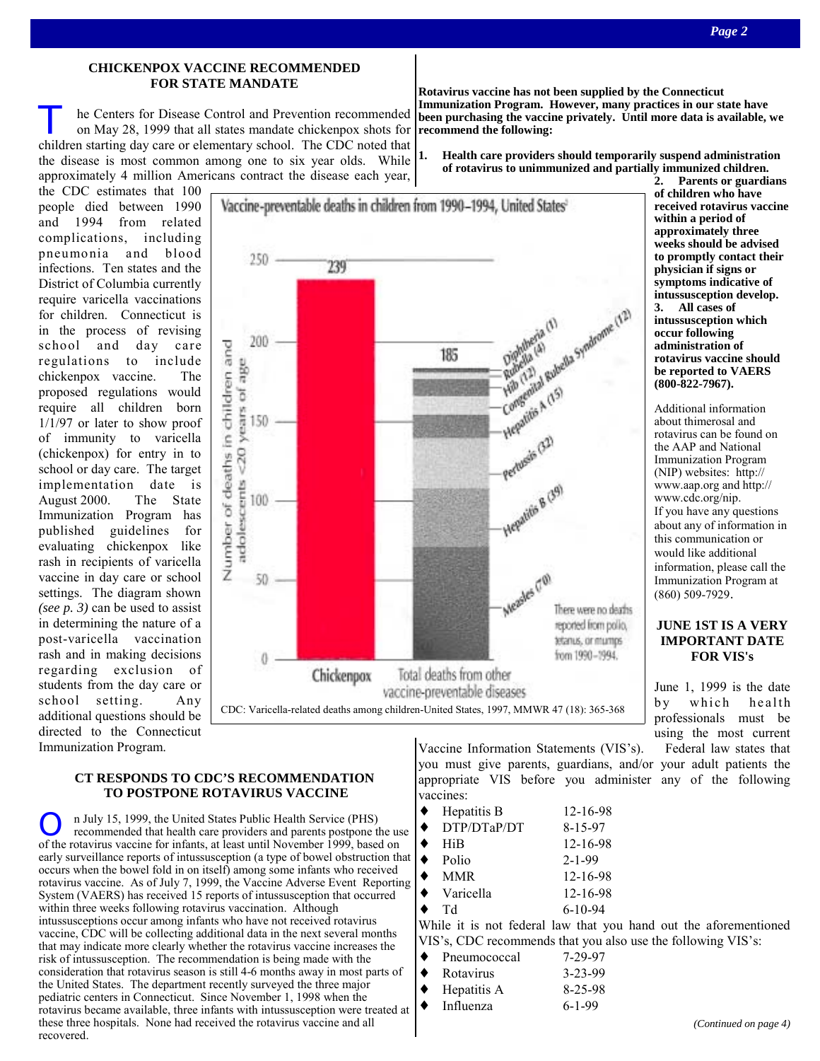### **CHICKENPOX VACCINE RECOMMENDED FOR STATE MANDATE**

**TEND HE CENTER SOF DISEASE CONTROL AND PREVENTION PROPERTY ON MAY 28, 1999 that all states mandate chickenpox shots for recommend the following:** children starting day care or elementary school. The CDC noted that the disease is most common among one to six year olds. While  $\left| \cdot \right|$ approximately 4 million Americans contract the disease each year,

the CDC estimates that 100 people died between 1990 and 1994 from related complications, including pneumonia and blood infections. Ten states and the District of Columbia currently require varicella vaccinations for children. Connecticut is in the process of revising school and day care regulations to include chickenpox vaccine. The proposed regulations would require all children born 1/1/97 or later to show proof of immunity to varicella (chickenpox) for entry in to school or day care. The target implementation date is August 2000. The State Immunization Program has published guidelines for evaluating chickenpox like rash in recipients of varicella vaccine in day care or school settings. The diagram shown *(see p. 3)* can be used to assist in determining the nature of a post-varicella vaccination rash and in making decisions regarding exclusion of students from the day care or school setting. Any additional questions should be directed to the Connecticut Immunization Program.



### **CT RESPONDS TO CDC'S RECOMMENDATION TO POSTPONE ROTAVIRUS VACCINE**

n July 15, 1999, the United States Public Health Service (PHS) recommended that health care providers and parents postpone the use of the rotavirus vaccine for infants, at least until November 1999, based on early surveillance reports of intussusception (a type of bowel obstruction that occurs when the bowel fold in on itself) among some infants who received rotavirus vaccine. As of July 7, 1999, the Vaccine Adverse Event Reporting System (VAERS) has received 15 reports of intussusception that occurred within three weeks following rotavirus vaccination. Although intussusceptions occur among infants who have not received rotavirus vaccine, CDC will be collecting additional data in the next several months that may indicate more clearly whether the rotavirus vaccine increases the risk of intussusception. The recommendation is being made with the consideration that rotavirus season is still 4-6 months away in most parts of the United States. The department recently surveyed the three major pediatric centers in Connecticut. Since November 1, 1998 when the rotavirus became available, three infants with intussusception were treated at these three hospitals. None had received the rotavirus vaccine and all recovered.

Vaccine Information Statements (VIS's). Federal law states that you must give parents, guardians, and/or your adult patients the appropriate VIS before you administer any of the following vaccines:

| Hepatitis B                           | 12-16-98      |
|---------------------------------------|---------------|
| DTP/DTaP/DT                           | $8 - 15 - 97$ |
| HiB                                   | 12-16-98      |
| Polio                                 | $2 - 1 - 99$  |
| <b>MMR</b>                            | 12-16-98      |
| Varicella                             | 12-16-98      |
| Td                                    | $6-10-94$     |
| While it is not followed low that you |               |

While it is not federal law that you hand out the aforementioned VIS's CDC recommends that you also use the following VIS's:

|           | v is s, CDC recommends that you all |               |
|-----------|-------------------------------------|---------------|
|           | $\bullet$ Pneumococcal              | 7-29-97       |
| $\bullet$ | Rotavirus                           | $3 - 23 - 99$ |
| $\bullet$ | Hepatitis A                         | $8 - 25 - 98$ |
|           | $\bullet$ Influenza                 | $6 - 1 - 99$  |
|           |                                     |               |

**Rotavirus vaccine has not been supplied by the Connecticut Immunization Program. However, many practices in our state have been purchasing the vaccine privately. Until more data is available, we** 

**1. Health care providers should temporarily suspend administration of rotavirus to unimmunized and partially immunized children.** 

**2. Parents or guardians of children who have received rotavirus vaccine within a period of approximately three weeks should be advised to promptly contact their physician if signs or symptoms indicative of intussusception develop. 3. All cases of intussusception which occur following administration of rotavirus vaccine should be reported to VAERS (800-822-7967).** 

Additional information about thimerosal and rotavirus can be found on the AAP and National Immunization Program (NIP) websites: http:// www.aap.org and http:// www.cdc.org/nip. If you have any questions about any of information in this communication or would like additional information, please call the Immunization Program at (860) 509-7929.

### **JUNE 1ST IS A VERY IMPORTANT DATE FOR VIS's**

June 1, 1999 is the date by which health professionals must be using the most current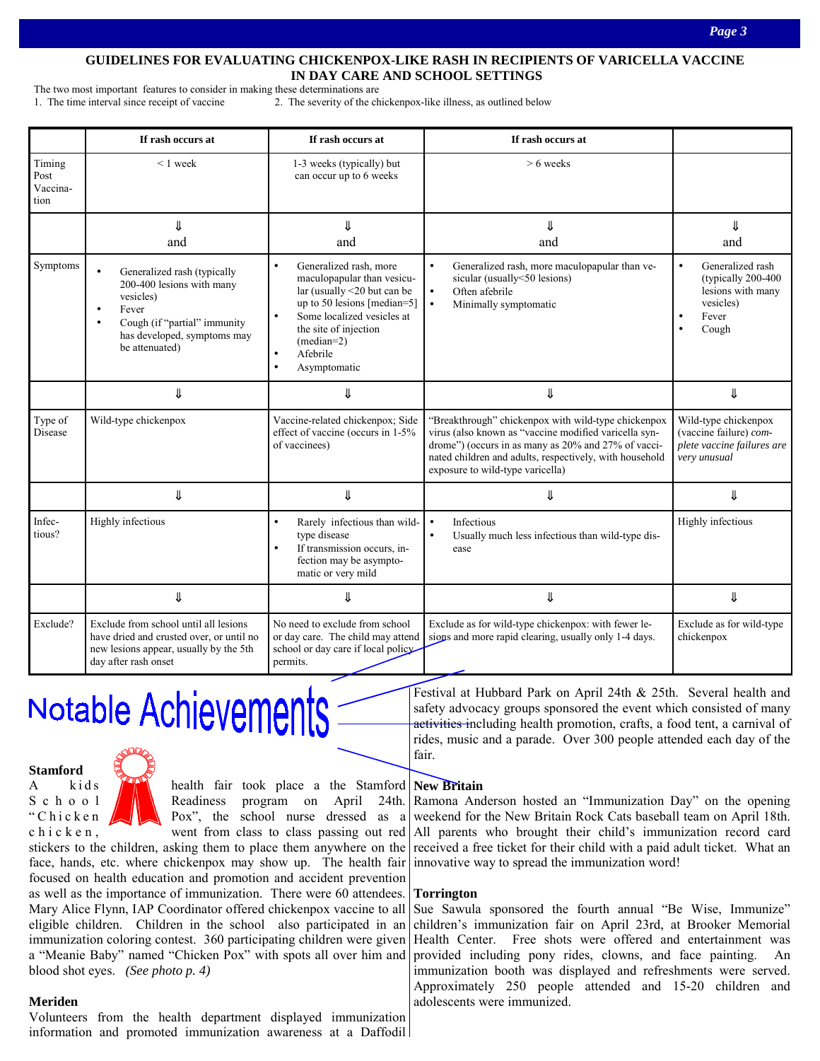### **GUIDELINES FOR EVALUATING CHICKENPOX-LIKE RASH IN RECIPIENTS OF VARICELLA VACCINE IN DAY CARE AND SCHOOL SETTINGS**

The two most important features to consider in making these determinations are 1. The time interval since receipt of vaccine 2. The severity of the chickenpox-like illness, as outlined below

|                                    | If rash occurs at                                                                                                                                                            | If rash occurs at                                                                                                                                                                                                                                                         | If rash occurs at                                                                                                                                                                                                                                                  |                                                                                                                       |
|------------------------------------|------------------------------------------------------------------------------------------------------------------------------------------------------------------------------|---------------------------------------------------------------------------------------------------------------------------------------------------------------------------------------------------------------------------------------------------------------------------|--------------------------------------------------------------------------------------------------------------------------------------------------------------------------------------------------------------------------------------------------------------------|-----------------------------------------------------------------------------------------------------------------------|
| Timing<br>Post<br>Vaccina-<br>tion | $< 1$ week                                                                                                                                                                   | 1-3 weeks (typically) but<br>can occur up to 6 weeks                                                                                                                                                                                                                      | $> 6$ weeks                                                                                                                                                                                                                                                        |                                                                                                                       |
|                                    | ⇓<br>and                                                                                                                                                                     | ⇓<br>and                                                                                                                                                                                                                                                                  | ⇓<br>and                                                                                                                                                                                                                                                           | ⇓<br>and                                                                                                              |
| Symptoms                           | Generalized rash (typically<br>200-400 lesions with many<br>vesicles)<br>Fever<br>Cough (if "partial" immunity<br>$\bullet$<br>has developed, symptoms may<br>be attenuated) | Generalized rash, more<br>$\bullet$<br>maculopapular than vesicu-<br>lar (usually <20 but can be<br>up to 50 lesions [median=5]<br>Some localized vesicles at<br>$\bullet$<br>the site of injection<br>$(median=2)$<br>Afebrile<br>$\bullet$<br>Asymptomatic<br>$\bullet$ | $\bullet$<br>Generalized rash, more maculopapular than ve-<br>sicular (usually<50 lesions)<br>Often afebrile<br>$\bullet$<br>Minimally symptomatic<br>$\bullet$                                                                                                    | Generalized rash<br>$\bullet$<br>(typically 200-400)<br>lesions with many<br>vesicles)<br>Fever<br>$\bullet$<br>Cough |
|                                    | ⇓                                                                                                                                                                            | ⇓                                                                                                                                                                                                                                                                         | ⇓                                                                                                                                                                                                                                                                  | ⇓                                                                                                                     |
| Type of<br>Disease                 | Wild-type chickenpox                                                                                                                                                         | Vaccine-related chickenpox; Side<br>effect of vaccine (occurs in 1-5%<br>of vaccinees)                                                                                                                                                                                    | "Breakthrough" chickenpox with wild-type chickenpox<br>virus (also known as "vaccine modified varicella syn-<br>drome") (occurs in as many as 20% and 27% of vacci-<br>nated children and adults, respectively, with household<br>exposure to wild-type varicella) | Wild-type chickenpox<br>(vaccine failure) com-<br>plete vaccine failures are<br>very unusual                          |
|                                    | ⇓                                                                                                                                                                            | ⇓                                                                                                                                                                                                                                                                         | ⇓                                                                                                                                                                                                                                                                  | ⇓                                                                                                                     |
| Infec-<br>tious?                   | Highly infectious                                                                                                                                                            | Rarely infectious than wild-<br>$\bullet$<br>type disease<br>If transmission occurs, in-<br>fection may be asympto-<br>matic or very mild                                                                                                                                 | Infectious<br>$\bullet$<br>Usually much less infectious than wild-type dis-<br>$\bullet$<br>ease                                                                                                                                                                   | Highly infectious                                                                                                     |
|                                    | ⇓                                                                                                                                                                            | ⇓                                                                                                                                                                                                                                                                         | ⇓                                                                                                                                                                                                                                                                  | ⇓                                                                                                                     |
| Exclude?                           | Exclude from school until all lesions<br>have dried and crusted over, or until no<br>new lesions appear, usually by the 5th<br>day after rash onset                          | No need to exclude from school<br>or day care. The child may attend<br>school or day care if local policy<br>permits.                                                                                                                                                     | Exclude as for wild-type chickenpox: with fewer le-<br>sions and more rapid clearing, usually only 1-4 days.                                                                                                                                                       | Exclude as for wild-type<br>chickenpox                                                                                |

# Notable Achievements

### **Stamford**



stickers to the children, asking them to place them anywhere on the face, hands, etc. where chickenpox may show up. The health fair focused on health education and promotion and accident prevention as well as the importance of immunization. There were 60 attendees. Mary Alice Flynn, IAP Coordinator offered chickenpox vaccine to all eligible children. Children in the school also participated in an immunization coloring contest. 360 participating children were given a "Meanie Baby" named "Chicken Pox" with spots all over him and blood shot eyes. *(See photo p. 4)* 

### **Meriden**

Volunteers from the health department displayed immunization information and promoted immunization awareness at a Daffodil

### **New Britain**

fair.

Ramona Anderson hosted an "Immunization Day" on the opening weekend for the New Britain Rock Cats baseball team on April 18th. All parents who brought their child's immunization record card received a free ticket for their child with a paid adult ticket. What an innovative way to spread the immunization word!

Festival at Hubbard Park on April 24th & 25th. Several health and safety advocacy groups sponsored the event which consisted of many activities including health promotion, crafts, a food tent, a carnival of rides, music and a parade. Over 300 people attended each day of the

### **Torrington**

Sue Sawula sponsored the fourth annual "Be Wise, Immunize" children's immunization fair on April 23rd, at Brooker Memorial Health Center. Free shots were offered and entertainment was provided including pony rides, clowns, and face painting. immunization booth was displayed and refreshments were served. Approximately 250 people attended and 15-20 children and adolescents were immunized.